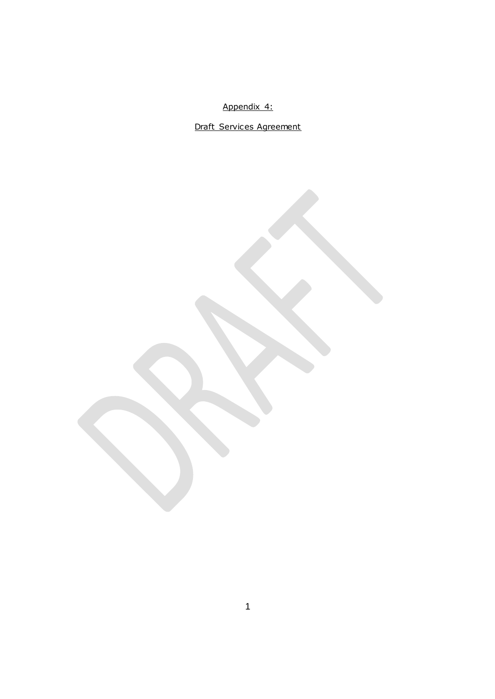Appendix 4:

Draft Services Agreement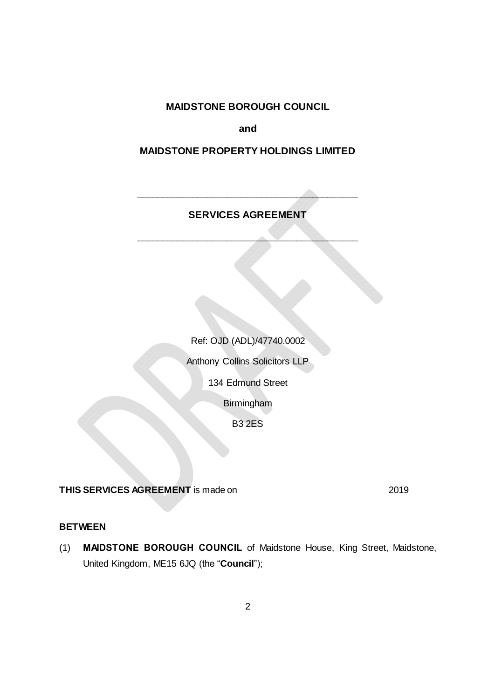**MAIDSTONE BOROUGH COUNCIL**

**and**

# **MAIDSTONE PROPERTY HOLDINGS LIMITED**

**SERVICES AGREEMENT**

**\_\_\_\_\_\_\_\_\_\_\_\_\_\_\_\_\_\_\_\_\_\_\_\_\_\_\_\_\_\_\_\_\_\_\_\_\_\_\_\_\_\_\_\_**

**\_\_\_\_\_\_\_\_\_\_\_\_\_\_\_\_\_\_\_\_\_\_\_\_\_\_\_\_\_\_\_\_\_\_\_\_\_\_\_\_\_\_\_\_**

# Ref: OJD (ADL)/47740.0002

Anthony Collins Solicitors LLP

134 Edmund Street

Birmingham

B3 2ES

**THIS SERVICES AGREEMENT** is made on 2019

## **BETWEEN**

(1) **MAIDSTONE BOROUGH COUNCIL** of Maidstone House, King Street, Maidstone, United Kingdom, ME15 6JQ (the "**Council**");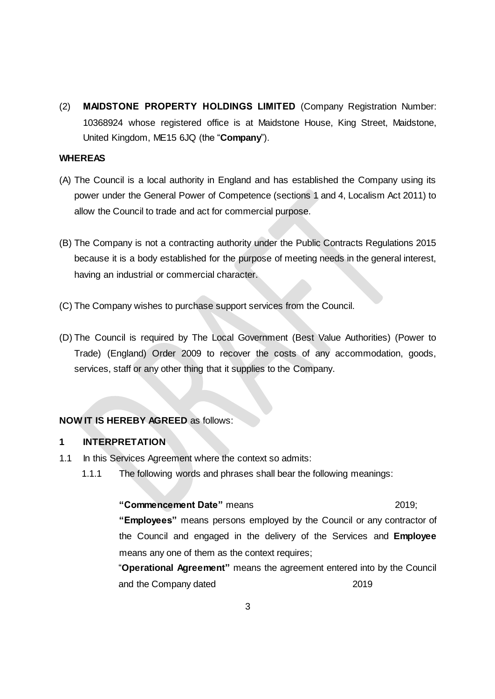(2) **MAIDSTONE PROPERTY HOLDINGS LIMITED** (Company Registration Number: 10368924 whose registered office is at Maidstone House, King Street, Maidstone, United Kingdom, ME15 6JQ (the "**Company**").

### **WHEREAS**

- (A) The Council is a local authority in England and has established the Company using its power under the General Power of Competence (sections 1 and 4, Localism Act 2011) to allow the Council to trade and act for commercial purpose.
- (B) The Company is not a contracting authority under the Public Contracts Regulations 2015 because it is a body established for the purpose of meeting needs in the general interest, having an industrial or commercial character.
- (C) The Company wishes to purchase support services from the Council.
- (D) The Council is required by The Local Government (Best Value Authorities) (Power to Trade) (England) Order 2009 to recover the costs of any accommodation, goods, services, staff or any other thing that it supplies to the Company.

## **NOW IT IS HEREBY AGREED** as follows:

#### **1 INTERPRETATION**

- 1.1 In this Services Agreement where the context so admits:
	- 1.1.1 The following words and phrases shall bear the following meanings:

#### **"Commencement Date"** means 2019;

**"Employees"** means persons employed by the Council or any contractor of the Council and engaged in the delivery of the Services and **Employee**  means any one of them as the context requires;

"**Operational Agreement"** means the agreement entered into by the Council and the Company dated 2019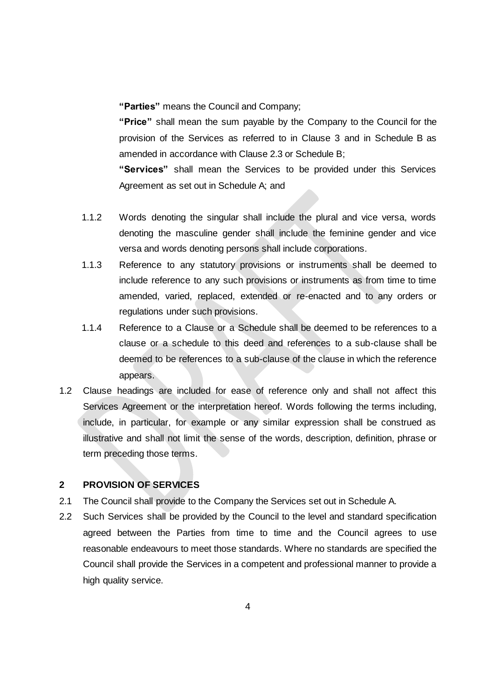**"Parties"** means the Council and Company;

**"Price"** shall mean the sum payable by the Company to the Council for the provision of the Services as referred to in Clause 3 and in Schedule B as amended in accordance with Clause 2.3 or Schedule B;

**"Services"** shall mean the Services to be provided under this Services Agreement as set out in Schedule A; and

- 1.1.2 Words denoting the singular shall include the plural and vice versa, words denoting the masculine gender shall include the feminine gender and vice versa and words denoting persons shall include corporations.
- 1.1.3 Reference to any statutory provisions or instruments shall be deemed to include reference to any such provisions or instruments as from time to time amended, varied, replaced, extended or re-enacted and to any orders or regulations under such provisions.
- 1.1.4 Reference to a Clause or a Schedule shall be deemed to be references to a clause or a schedule to this deed and references to a sub-clause shall be deemed to be references to a sub-clause of the clause in which the reference appears.
- 1.2 Clause headings are included for ease of reference only and shall not affect this Services Agreement or the interpretation hereof. Words following the terms including, include, in particular, for example or any similar expression shall be construed as illustrative and shall not limit the sense of the words, description, definition, phrase or term preceding those terms.

## **2 PROVISION OF SERVICES**

- 2.1 The Council shall provide to the Company the Services set out in Schedule A.
- 2.2 Such Services shall be provided by the Council to the level and standard specification agreed between the Parties from time to time and the Council agrees to use reasonable endeavours to meet those standards. Where no standards are specified the Council shall provide the Services in a competent and professional manner to provide a high quality service.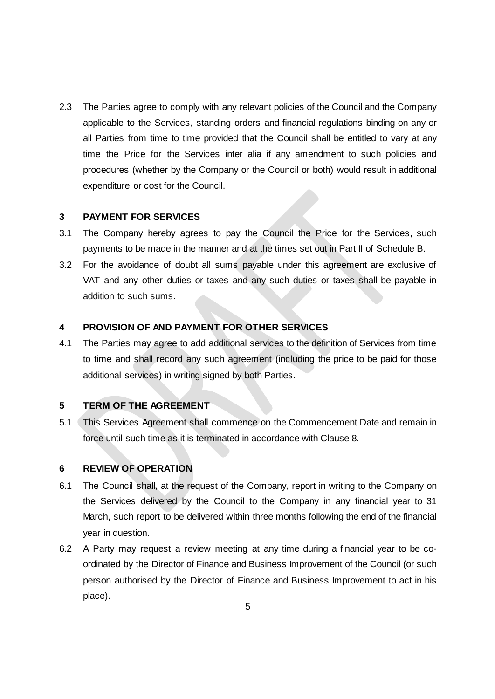2.3 The Parties agree to comply with any relevant policies of the Council and the Company applicable to the Services, standing orders and financial regulations binding on any or all Parties from time to time provided that the Council shall be entitled to vary at any time the Price for the Services inter alia if any amendment to such policies and procedures (whether by the Company or the Council or both) would result in additional expenditure or cost for the Council.

#### **3 PAYMENT FOR SERVICES**

- 3.1 The Company hereby agrees to pay the Council the Price for the Services, such payments to be made in the manner and at the times set out in Part II of Schedule B.
- 3.2 For the avoidance of doubt all sums payable under this agreement are exclusive of VAT and any other duties or taxes and any such duties or taxes shall be payable in addition to such sums.

### **4 PROVISION OF AND PAYMENT FOR OTHER SERVICES**

4.1 The Parties may agree to add additional services to the definition of Services from time to time and shall record any such agreement (including the price to be paid for those additional services) in writing signed by both Parties.

#### **5 TERM OF THE AGREEMENT**

5.1 This Services Agreement shall commence on the Commencement Date and remain in force until such time as it is terminated in accordance with Clause 8.

#### **6 REVIEW OF OPERATION**

- 6.1 The Council shall, at the request of the Company, report in writing to the Company on the Services delivered by the Council to the Company in any financial year to 31 March, such report to be delivered within three months following the end of the financial year in question.
- 6.2 A Party may request a review meeting at any time during a financial year to be coordinated by the Director of Finance and Business Improvement of the Council (or such person authorised by the Director of Finance and Business Improvement to act in his place).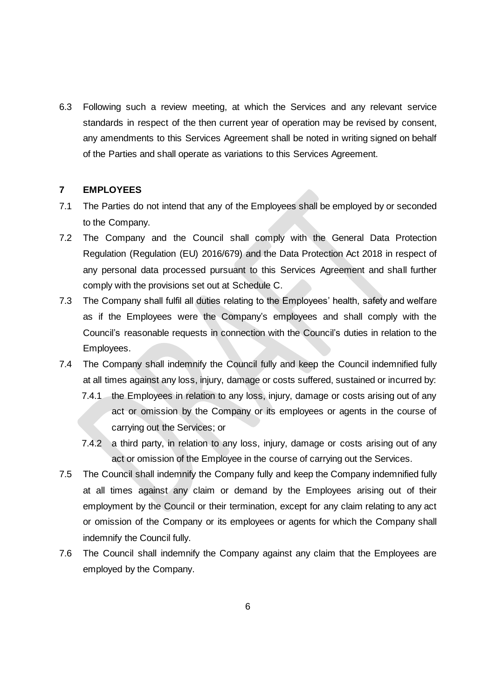6.3 Following such a review meeting, at which the Services and any relevant service standards in respect of the then current year of operation may be revised by consent, any amendments to this Services Agreement shall be noted in writing signed on behalf of the Parties and shall operate as variations to this Services Agreement.

#### **7 EMPLOYEES**

- 7.1 The Parties do not intend that any of the Employees shall be employed by or seconded to the Company.
- 7.2 The Company and the Council shall comply with the General Data Protection Regulation (Regulation (EU) 2016/679) and the Data Protection Act 2018 in respect of any personal data processed pursuant to this Services Agreement and shall further comply with the provisions set out at Schedule C.
- 7.3 The Company shall fulfil all duties relating to the Employees' health, safety and welfare as if the Employees were the Company's employees and shall comply with the Council's reasonable requests in connection with the Council's duties in relation to the Employees.
- 7.4 The Company shall indemnify the Council fully and keep the Council indemnified fully at all times against any loss, injury, damage or costs suffered, sustained or incurred by:
	- 7.4.1 the Employees in relation to any loss, injury, damage or costs arising out of any act or omission by the Company or its employees or agents in the course of carrying out the Services; or
	- 7.4.2 a third party, in relation to any loss, injury, damage or costs arising out of any act or omission of the Employee in the course of carrying out the Services.
- 7.5 The Council shall indemnify the Company fully and keep the Company indemnified fully at all times against any claim or demand by the Employees arising out of their employment by the Council or their termination, except for any claim relating to any act or omission of the Company or its employees or agents for which the Company shall indemnify the Council fully.
- 7.6 The Council shall indemnify the Company against any claim that the Employees are employed by the Company.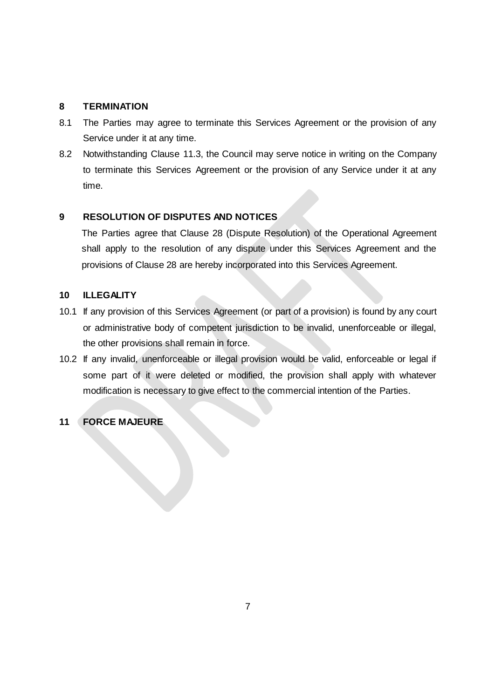### **8 TERMINATION**

- 8.1 The Parties may agree to terminate this Services Agreement or the provision of any Service under it at any time.
- 8.2 Notwithstanding Clause 11.3, the Council may serve notice in writing on the Company to terminate this Services Agreement or the provision of any Service under it at any time.

## **9 RESOLUTION OF DISPUTES AND NOTICES**

The Parties agree that Clause 28 (Dispute Resolution) of the Operational Agreement shall apply to the resolution of any dispute under this Services Agreement and the provisions of Clause 28 are hereby incorporated into this Services Agreement.

### **10 ILLEGALITY**

- 10.1 If any provision of this Services Agreement (or part of a provision) is found by any court or administrative body of competent jurisdiction to be invalid, unenforceable or illegal, the other provisions shall remain in force.
- 10.2 If any invalid, unenforceable or illegal provision would be valid, enforceable or legal if some part of it were deleted or modified, the provision shall apply with whatever modification is necessary to give effect to the commercial intention of the Parties.

# **11 FORCE MAJEURE**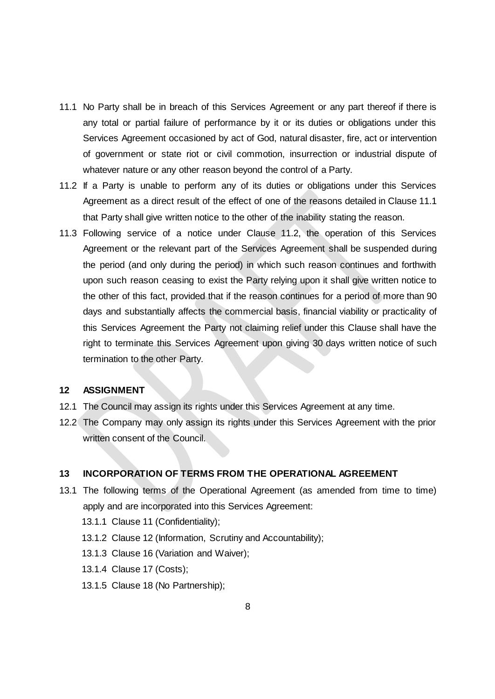- 11.1 No Party shall be in breach of this Services Agreement or any part thereof if there is any total or partial failure of performance by it or its duties or obligations under this Services Agreement occasioned by act of God, natural disaster, fire, act or intervention of government or state riot or civil commotion, insurrection or industrial dispute of whatever nature or any other reason beyond the control of a Party.
- 11.2 If a Party is unable to perform any of its duties or obligations under this Services Agreement as a direct result of the effect of one of the reasons detailed in Clause 11.1 that Party shall give written notice to the other of the inability stating the reason.
- 11.3 Following service of a notice under Clause 11.2, the operation of this Services Agreement or the relevant part of the Services Agreement shall be suspended during the period (and only during the period) in which such reason continues and forthwith upon such reason ceasing to exist the Party relying upon it shall give written notice to the other of this fact, provided that if the reason continues for a period of more than 90 days and substantially affects the commercial basis, financial viability or practicality of this Services Agreement the Party not claiming relief under this Clause shall have the right to terminate this Services Agreement upon giving 30 days written notice of such termination to the other Party.

#### **12 ASSIGNMENT**

- 12.1 The Council may assign its rights under this Services Agreement at any time.
- 12.2 The Company may only assign its rights under this Services Agreement with the prior written consent of the Council.

#### **13 INCORPORATION OF TERMS FROM THE OPERATIONAL AGREEMENT**

- 13.1 The following terms of the Operational Agreement (as amended from time to time) apply and are incorporated into this Services Agreement:
	- 13.1.1 Clause 11 (Confidentiality);
	- 13.1.2 Clause 12 (Information, Scrutiny and Accountability);
	- 13.1.3 Clause 16 (Variation and Waiver);
	- 13.1.4 Clause 17 (Costs);
	- 13.1.5 Clause 18 (No Partnership);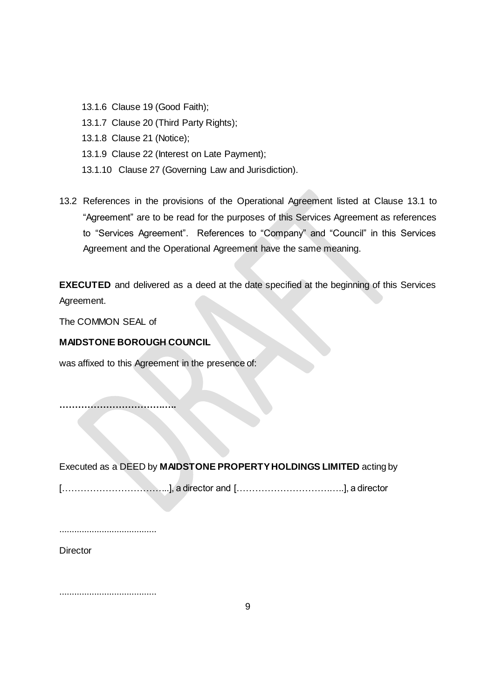- 13.1.6 Clause 19 (Good Faith);
- 13.1.7 Clause 20 (Third Party Rights);
- 13.1.8 Clause 21 (Notice);
- 13.1.9 Clause 22 (Interest on Late Payment);
- 13.1.10 Clause 27 (Governing Law and Jurisdiction).
- 13.2 References in the provisions of the Operational Agreement listed at Clause 13.1 to "Agreement" are to be read for the purposes of this Services Agreement as references to "Services Agreement". References to "Company" and "Council" in this Services Agreement and the Operational Agreement have the same meaning.

**EXECUTED** and delivered as a deed at the date specified at the beginning of this Services Agreement.

The COMMON SEAL of

#### **MAIDSTONE BOROUGH COUNCIL**

was affixed to this Agreement in the presence of:

**………………………………..**

Executed as a DEED by **MAIDSTONE PROPERTY HOLDINGS LIMITED** acting by

[……………………………..], a director and [……………………………..], a director

.......................................

**Director** 

.......................................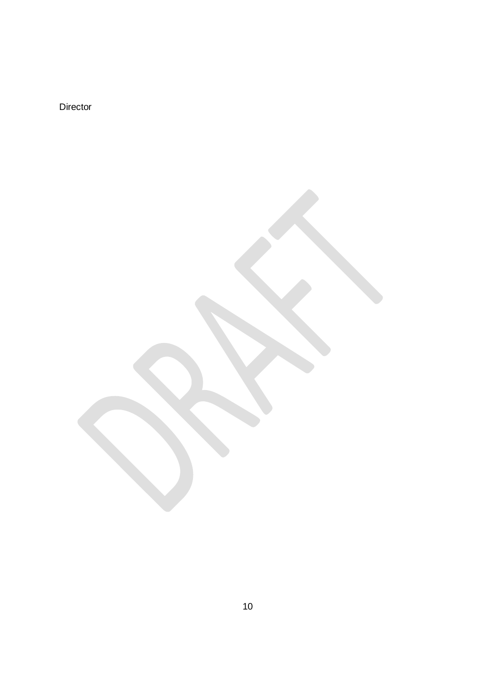Director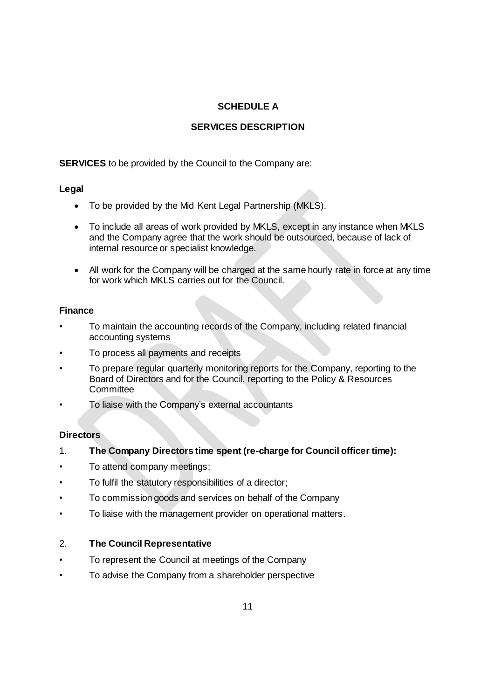# **SCHEDULE A**

# **SERVICES DESCRIPTION**

**SERVICES** to be provided by the Council to the Company are:

## **Legal**

- To be provided by the Mid Kent Legal Partnership (MKLS).
- To include all areas of work provided by MKLS, except in any instance when MKLS and the Company agree that the work should be outsourced, because of lack of internal resource or specialist knowledge.
- All work for the Company will be charged at the same hourly rate in force at any time for work which MKLS carries out for the Council.

## **Finance**

- To maintain the accounting records of the Company, including related financial accounting systems
- To process all payments and receipts
- To prepare regular quarterly monitoring reports for the Company, reporting to the Board of Directors and for the Council, reporting to the Policy & Resources **Committee**
- To liaise with the Company's external accountants

## **Directors**

- 1. **The Company Directors time spent (re-charge for Council officer time):**
- To attend company meetings;
- To fulfil the statutory responsibilities of a director;
- To commission goods and services on behalf of the Company
- To liaise with the management provider on operational matters.

## 2. **The Council Representative**

- To represent the Council at meetings of the Company
- To advise the Company from a shareholder perspective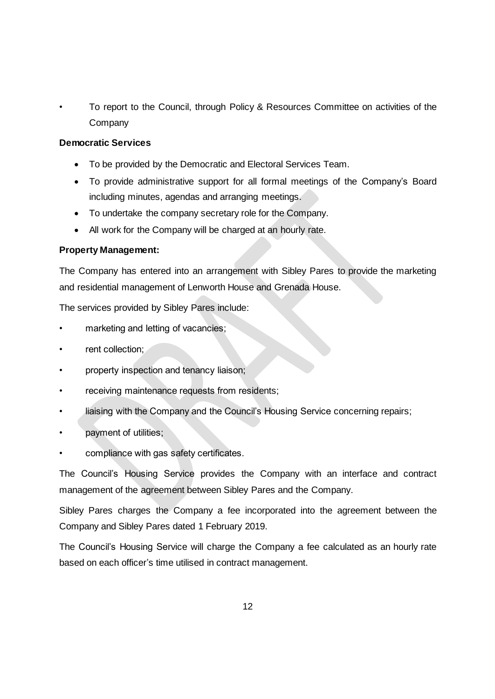• To report to the Council, through Policy & Resources Committee on activities of the **Company** 

### **Democratic Services**

- To be provided by the Democratic and Electoral Services Team.
- To provide administrative support for all formal meetings of the Company's Board including minutes, agendas and arranging meetings.
- To undertake the company secretary role for the Company.
- All work for the Company will be charged at an hourly rate.

## **Property Management:**

The Company has entered into an arrangement with Sibley Pares to provide the marketing and residential management of Lenworth House and Grenada House.

The services provided by Sibley Pares include:

- marketing and letting of vacancies;
- rent collection;
- property inspection and tenancy liaison;
- receiving maintenance requests from residents;
- liaising with the Company and the Council's Housing Service concerning repairs;
- payment of utilities;
- compliance with gas safety certificates.

The Council's Housing Service provides the Company with an interface and contract management of the agreement between Sibley Pares and the Company.

Sibley Pares charges the Company a fee incorporated into the agreement between the Company and Sibley Pares dated 1 February 2019.

The Council's Housing Service will charge the Company a fee calculated as an hourly rate based on each officer's time utilised in contract management.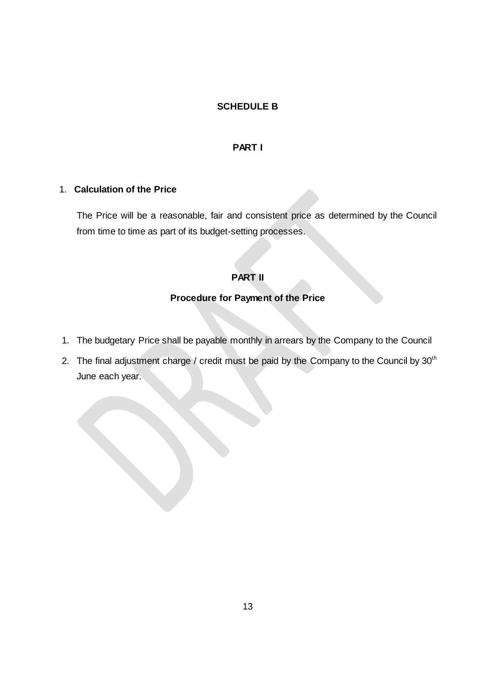### **SCHEDULE B**

#### **PART I**

#### 1. **Calculation of the Price**

The Price will be a reasonable, fair and consistent price as determined by the Council from time to time as part of its budget-setting processes.

## **PART II**

#### **Procedure for Payment of the Price**

- 1. The budgetary Price shall be payable monthly in arrears by the Company to the Council
- 2. The final adjustment charge / credit must be paid by the Company to the Council by 30<sup>th</sup> June each year.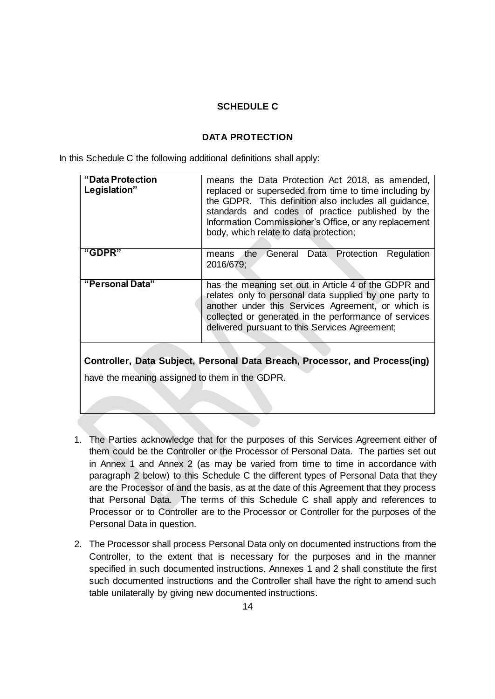### **SCHEDULE C**

#### **DATA PROTECTION**

In this Schedule C the following additional definitions shall apply:

| "Data Protection<br>Legislation" | means the Data Protection Act 2018, as amended,<br>replaced or superseded from time to time including by<br>the GDPR. This definition also includes all guidance,<br>standards and codes of practice published by the<br>Information Commissioner's Office, or any replacement<br>body, which relate to data protection; |
|----------------------------------|--------------------------------------------------------------------------------------------------------------------------------------------------------------------------------------------------------------------------------------------------------------------------------------------------------------------------|
| "GDPR"                           | General Data Protection<br>Regulation<br>the.<br>means<br>2016/679;                                                                                                                                                                                                                                                      |
| "Personal Data"                  | has the meaning set out in Article 4 of the GDPR and<br>relates only to personal data supplied by one party to<br>another under this Services Agreement, or which is<br>collected or generated in the performance of services<br>delivered pursuant to this Services Agreement;                                          |

**Controller, Data Subject, Personal Data Breach, Processor, and Process(ing)** have the meaning assigned to them in the GDPR.

- 1. The Parties acknowledge that for the purposes of this Services Agreement either of them could be the Controller or the Processor of Personal Data. The parties set out in Annex 1 and Annex 2 (as may be varied from time to time in accordance with paragraph 2 below) to this Schedule C the different types of Personal Data that they are the Processor of and the basis, as at the date of this Agreement that they process that Personal Data. The terms of this Schedule C shall apply and references to Processor or to Controller are to the Processor or Controller for the purposes of the Personal Data in question.
- 2. The Processor shall process Personal Data only on documented instructions from the Controller, to the extent that is necessary for the purposes and in the manner specified in such documented instructions. Annexes 1 and 2 shall constitute the first such documented instructions and the Controller shall have the right to amend such table unilaterally by giving new documented instructions.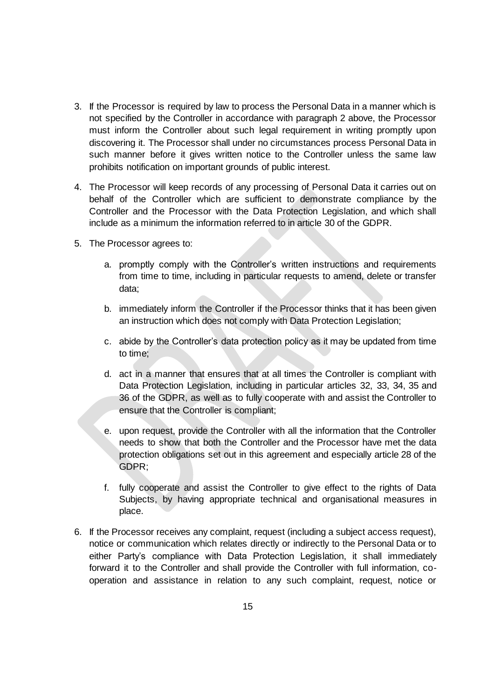- 3. If the Processor is required by law to process the Personal Data in a manner which is not specified by the Controller in accordance with paragraph 2 above, the Processor must inform the Controller about such legal requirement in writing promptly upon discovering it. The Processor shall under no circumstances process Personal Data in such manner before it gives written notice to the Controller unless the same law prohibits notification on important grounds of public interest.
- 4. The Processor will keep records of any processing of Personal Data it carries out on behalf of the Controller which are sufficient to demonstrate compliance by the Controller and the Processor with the Data Protection Legislation, and which shall include as a minimum the information referred to in article 30 of the GDPR.
- 5. The Processor agrees to:
	- a. promptly comply with the Controller's written instructions and requirements from time to time, including in particular requests to amend, delete or transfer data;
	- b. immediately inform the Controller if the Processor thinks that it has been given an instruction which does not comply with Data Protection Legislation;
	- c. abide by the Controller's data protection policy as it may be updated from time to time;
	- d. act in a manner that ensures that at all times the Controller is compliant with Data Protection Legislation, including in particular articles 32, 33, 34, 35 and 36 of the GDPR, as well as to fully cooperate with and assist the Controller to ensure that the Controller is compliant;
	- e. upon request, provide the Controller with all the information that the Controller needs to show that both the Controller and the Processor have met the data protection obligations set out in this agreement and especially article 28 of the GDPR;
	- f. fully cooperate and assist the Controller to give effect to the rights of Data Subjects, by having appropriate technical and organisational measures in place.
- 6. If the Processor receives any complaint, request (including a subject access request), notice or communication which relates directly or indirectly to the Personal Data or to either Party's compliance with Data Protection Legislation, it shall immediately forward it to the Controller and shall provide the Controller with full information, cooperation and assistance in relation to any such complaint, request, notice or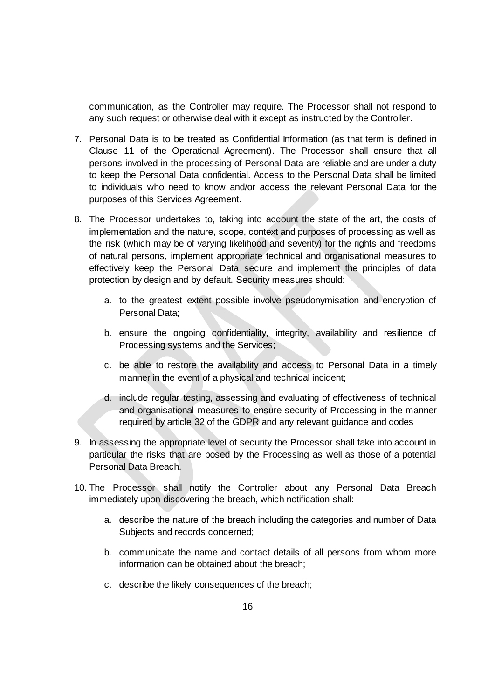communication, as the Controller may require. The Processor shall not respond to any such request or otherwise deal with it except as instructed by the Controller.

- 7. Personal Data is to be treated as Confidential Information (as that term is defined in Clause 11 of the Operational Agreement). The Processor shall ensure that all persons involved in the processing of Personal Data are reliable and are under a duty to keep the Personal Data confidential. Access to the Personal Data shall be limited to individuals who need to know and/or access the relevant Personal Data for the purposes of this Services Agreement.
- 8. The Processor undertakes to, taking into account the state of the art, the costs of implementation and the nature, scope, context and purposes of processing as well as the risk (which may be of varying likelihood and severity) for the rights and freedoms of natural persons, implement appropriate technical and organisational measures to effectively keep the Personal Data secure and implement the principles of data protection by design and by default. Security measures should:
	- a. to the greatest extent possible involve pseudonymisation and encryption of Personal Data;
	- b. ensure the ongoing confidentiality, integrity, availability and resilience of Processing systems and the Services;
	- c. be able to restore the availability and access to Personal Data in a timely manner in the event of a physical and technical incident;
	- d. include regular testing, assessing and evaluating of effectiveness of technical and organisational measures to ensure security of Processing in the manner required by article 32 of the GDPR and any relevant guidance and codes
- 9. In assessing the appropriate level of security the Processor shall take into account in particular the risks that are posed by the Processing as well as those of a potential Personal Data Breach.
- 10. The Processor shall notify the Controller about any Personal Data Breach immediately upon discovering the breach, which notification shall:
	- a. describe the nature of the breach including the categories and number of Data Subjects and records concerned;
	- b. communicate the name and contact details of all persons from whom more information can be obtained about the breach;
	- c. describe the likely consequences of the breach;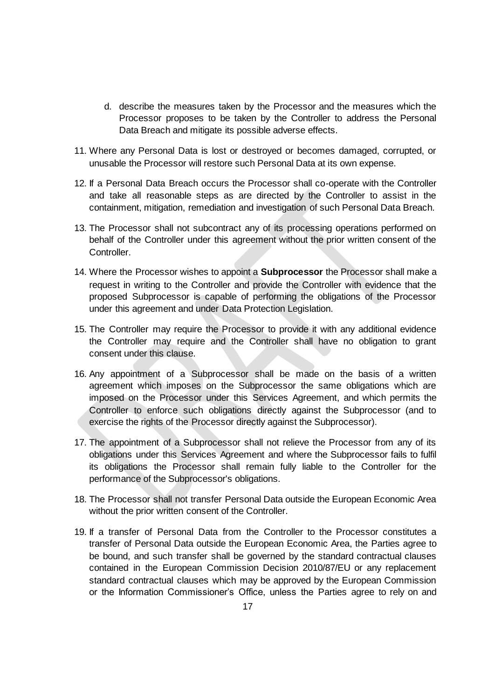- d. describe the measures taken by the Processor and the measures which the Processor proposes to be taken by the Controller to address the Personal Data Breach and mitigate its possible adverse effects.
- 11. Where any Personal Data is lost or destroyed or becomes damaged, corrupted, or unusable the Processor will restore such Personal Data at its own expense.
- 12. If a Personal Data Breach occurs the Processor shall co-operate with the Controller and take all reasonable steps as are directed by the Controller to assist in the containment, mitigation, remediation and investigation of such Personal Data Breach.
- 13. The Processor shall not subcontract any of its processing operations performed on behalf of the Controller under this agreement without the prior written consent of the Controller.
- 14. Where the Processor wishes to appoint a **Subprocessor** the Processor shall make a request in writing to the Controller and provide the Controller with evidence that the proposed Subprocessor is capable of performing the obligations of the Processor under this agreement and under Data Protection Legislation.
- 15. The Controller may require the Processor to provide it with any additional evidence the Controller may require and the Controller shall have no obligation to grant consent under this clause.
- 16. Any appointment of a Subprocessor shall be made on the basis of a written agreement which imposes on the Subprocessor the same obligations which are imposed on the Processor under this Services Agreement, and which permits the Controller to enforce such obligations directly against the Subprocessor (and to exercise the rights of the Processor directly against the Subprocessor).
- 17. The appointment of a Subprocessor shall not relieve the Processor from any of its obligations under this Services Agreement and where the Subprocessor fails to fulfil its obligations the Processor shall remain fully liable to the Controller for the performance of the Subprocessor's obligations.
- 18. The Processor shall not transfer Personal Data outside the European Economic Area without the prior written consent of the Controller.
- 19. If a transfer of Personal Data from the Controller to the Processor constitutes a transfer of Personal Data outside the European Economic Area, the Parties agree to be bound, and such transfer shall be governed by the standard contractual clauses contained in the European Commission Decision 2010/87/EU or any replacement standard contractual clauses which may be approved by the European Commission or the Information Commissioner's Office, unless the Parties agree to rely on and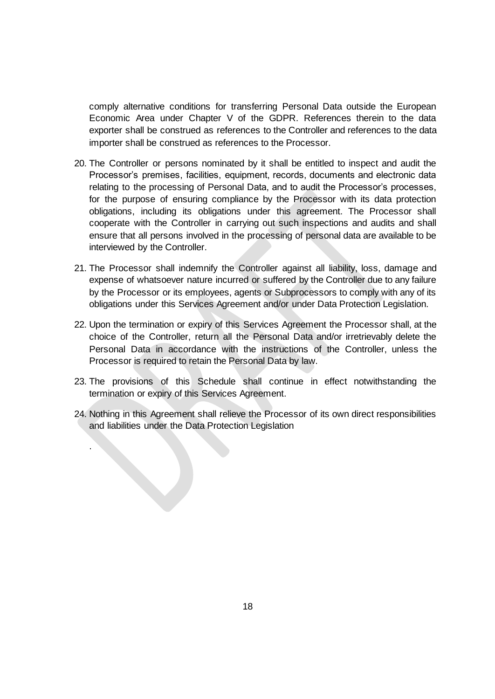comply alternative conditions for transferring Personal Data outside the European Economic Area under Chapter V of the GDPR. References therein to the data exporter shall be construed as references to the Controller and references to the data importer shall be construed as references to the Processor.

- 20. The Controller or persons nominated by it shall be entitled to inspect and audit the Processor's premises, facilities, equipment, records, documents and electronic data relating to the processing of Personal Data, and to audit the Processor's processes, for the purpose of ensuring compliance by the Processor with its data protection obligations, including its obligations under this agreement. The Processor shall cooperate with the Controller in carrying out such inspections and audits and shall ensure that all persons involved in the processing of personal data are available to be interviewed by the Controller.
- 21. The Processor shall indemnify the Controller against all liability, loss, damage and expense of whatsoever nature incurred or suffered by the Controller due to any failure by the Processor or its employees, agents or Subprocessors to comply with any of its obligations under this Services Agreement and/or under Data Protection Legislation.
- 22. Upon the termination or expiry of this Services Agreement the Processor shall, at the choice of the Controller, return all the Personal Data and/or irretrievably delete the Personal Data in accordance with the instructions of the Controller, unless the Processor is required to retain the Personal Data by law.
- 23. The provisions of this Schedule shall continue in effect notwithstanding the termination or expiry of this Services Agreement.
- 24. Nothing in this Agreement shall relieve the Processor of its own direct responsibilities and liabilities under the Data Protection Legislation

.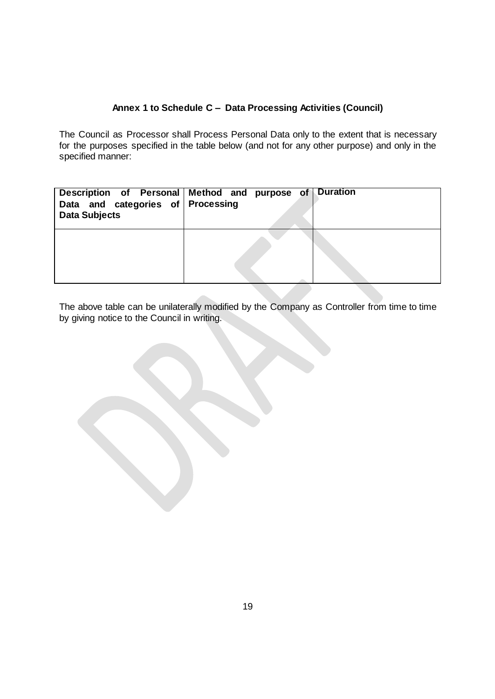# **Annex 1 to Schedule C – Data Processing Activities (Council)**

The Council as Processor shall Process Personal Data only to the extent that is necessary for the purposes specified in the table below (and not for any other purpose) and only in the specified manner:

| Data and categories of Processing<br><b>Data Subjects</b> | Description of Personal Method and purpose of Duration |  |
|-----------------------------------------------------------|--------------------------------------------------------|--|
|                                                           |                                                        |  |

The above table can be unilaterally modified by the Company as Controller from time to time by giving notice to the Council in writing.